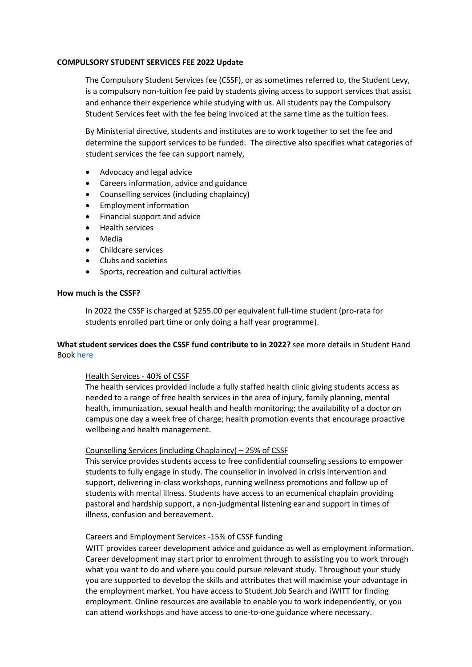## **COMPULSORY STUDENT SERVICES FEE 2022 Update**

The Compulsory Student Services fee (CSSF), or as sometimes referred to, the Student Levy, is a compulsory non-tuition fee paid by students giving access to support services that assist and enhance their experience while studying with us. All students pay the Compulsory Student Services feet with the fee being invoiced at the same time as the tuition fees.

By Ministerial directive, students and institutes are to work together to set the fee and determine the support services to be funded. The directive also specifies what categories of student services the fee can support namely,

- Advocacy and legal advice
- Careers information, advice and guidance
- Counselling services (including chaplaincy)
- Employment information
- Financial support and advice
- Health services
- Media
- Childcare services
- Clubs and societies
- Sports, recreation and cultural activities

## **How much is the CSSF?**

In 2022 the CSSF is charged at \$255.00 per equivalent full-time student (pro-rata for students enrolled part time or only doing a half year programme).

# **What student services does the CSSF fund contribute to in 2022?** see more details in Student Hand Book [here](https://www.witt.ac.nz/current-students/resources-and-forms/)

# Health Services - 40% of CSSF

The health services provided include a fully staffed health clinic giving students access as needed to a range of free health services in the area of injury, family planning, mental health, immunization, sexual health and health monitoring; the availability of a doctor on campus one day a week free of charge; health promotion events that encourage proactive wellbeing and health management.

# Counselling Services (including Chaplaincy) – 25% of CSSF

This service provides students access to free confidential counseling sessions to empower students to fully engage in study. The counsellor in involved in crisis intervention and support, delivering in-class workshops, running wellness promotions and follow up of students with mental illness. Students have access to an ecumenical chaplain providing pastoral and hardship support, a non-judgmental listening ear and support in times of illness, confusion and bereavement.

# Careers and Employment Services -15% of CSSF funding

WITT provides career development advice and guidance as well as employment information. Career development may start prior to enrolment through to assisting you to work through what you want to do and where you could pursue relevant study. Throughout your study you are supported to develop the skills and attributes that will maximise your advantage in the employment market. You have access to Student Job Search and iWITT for finding employment. Online resources are available to enable you to work independently, or you can attend workshops and have access to one-to-one guidance where necessary.